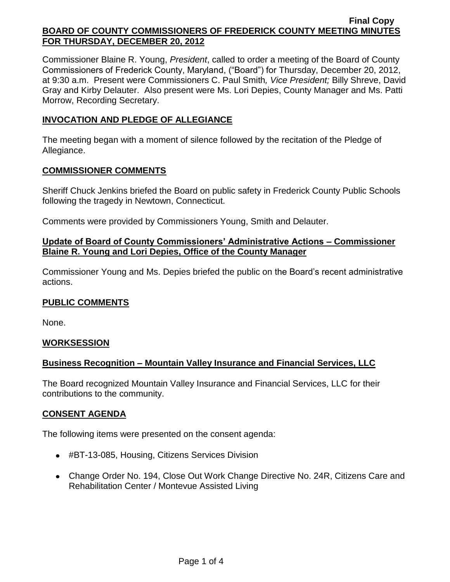Commissioner Blaine R. Young, *President*, called to order a meeting of the Board of County Commissioners of Frederick County, Maryland, ("Board") for Thursday, December 20, 2012, at 9:30 a.m. Present were Commissioners C. Paul Smith*, Vice President;* Billy Shreve, David Gray and Kirby Delauter. Also present were Ms. Lori Depies, County Manager and Ms. Patti Morrow, Recording Secretary.

## **INVOCATION AND PLEDGE OF ALLEGIANCE**

The meeting began with a moment of silence followed by the recitation of the Pledge of Allegiance.

### **COMMISSIONER COMMENTS**

Sheriff Chuck Jenkins briefed the Board on public safety in Frederick County Public Schools following the tragedy in Newtown, Connecticut.

Comments were provided by Commissioners Young, Smith and Delauter.

## **Update of Board of County Commissioners' Administrative Actions – Commissioner Blaine R. Young and Lori Depies, Office of the County Manager**

Commissioner Young and Ms. Depies briefed the public on the Board's recent administrative actions.

## **PUBLIC COMMENTS**

None.

## **WORKSESSION**

# **Business Recognition – Mountain Valley Insurance and Financial Services, LLC**

The Board recognized Mountain Valley Insurance and Financial Services, LLC for their contributions to the community.

## **CONSENT AGENDA**

The following items were presented on the consent agenda:

- #BT-13-085, Housing, Citizens Services Division
- Change Order No. 194, Close Out Work Change Directive No. 24R, Citizens Care and Rehabilitation Center / Montevue Assisted Living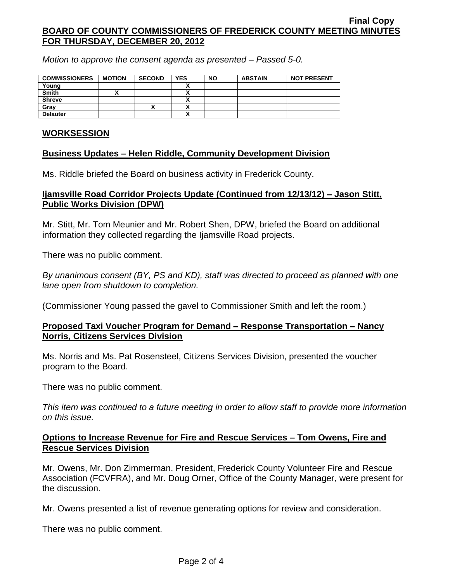*Motion to approve the consent agenda as presented – Passed 5-0.*

| <b>COMMISSIONERS</b> | <b>MOTION</b> | <b>SECOND</b> | <b>YES</b> | <b>NO</b> | <b>ABSTAIN</b> | <b>NOT PRESENT</b> |
|----------------------|---------------|---------------|------------|-----------|----------------|--------------------|
| Young                |               |               |            |           |                |                    |
| <b>Smith</b>         |               |               |            |           |                |                    |
| <b>Shreve</b>        |               |               |            |           |                |                    |
| Grav                 |               | ́             |            |           |                |                    |
| <b>Delauter</b>      |               |               |            |           |                |                    |

### **WORKSESSION**

## **Business Updates – Helen Riddle, Community Development Division**

Ms. Riddle briefed the Board on business activity in Frederick County.

### **Ijamsville Road Corridor Projects Update (Continued from 12/13/12) – Jason Stitt, Public Works Division (DPW)**

Mr. Stitt, Mr. Tom Meunier and Mr. Robert Shen, DPW, briefed the Board on additional information they collected regarding the Ijamsville Road projects.

There was no public comment.

*By unanimous consent (BY, PS and KD), staff was directed to proceed as planned with one lane open from shutdown to completion.*

(Commissioner Young passed the gavel to Commissioner Smith and left the room.)

## **Proposed Taxi Voucher Program for Demand – Response Transportation – Nancy Norris, Citizens Services Division**

Ms. Norris and Ms. Pat Rosensteel, Citizens Services Division, presented the voucher program to the Board.

There was no public comment.

*This item was continued to a future meeting in order to allow staff to provide more information on this issue.*

### **Options to Increase Revenue for Fire and Rescue Services – Tom Owens, Fire and Rescue Services Division**

Mr. Owens, Mr. Don Zimmerman, President, Frederick County Volunteer Fire and Rescue Association (FCVFRA), and Mr. Doug Orner, Office of the County Manager, were present for the discussion.

Mr. Owens presented a list of revenue generating options for review and consideration.

There was no public comment.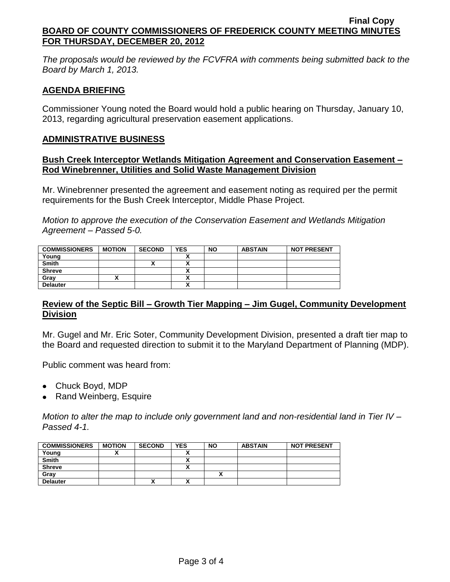*The proposals would be reviewed by the FCVFRA with comments being submitted back to the Board by March 1, 2013.*

## **AGENDA BRIEFING**

Commissioner Young noted the Board would hold a public hearing on Thursday, January 10, 2013, regarding agricultural preservation easement applications.

#### **ADMINISTRATIVE BUSINESS**

#### **Bush Creek Interceptor Wetlands Mitigation Agreement and Conservation Easement – Rod Winebrenner, Utilities and Solid Waste Management Division**

Mr. Winebrenner presented the agreement and easement noting as required per the permit requirements for the Bush Creek Interceptor, Middle Phase Project.

*Motion to approve the execution of the Conservation Easement and Wetlands Mitigation Agreement – Passed 5-0.*

| <b>COMMISSIONERS</b> | <b>MOTION</b> | <b>SECOND</b> | <b>YES</b> | <b>NO</b> | <b>ABSTAIN</b> | <b>NOT PRESENT</b> |
|----------------------|---------------|---------------|------------|-----------|----------------|--------------------|
| Young                |               |               |            |           |                |                    |
| <b>Smith</b>         |               |               | Λ          |           |                |                    |
| <b>Shreve</b>        |               |               | Λ          |           |                |                    |
| Grav                 |               |               | Λ          |           |                |                    |
| <b>Delauter</b>      |               |               | Λ          |           |                |                    |

### **Review of the Septic Bill – Growth Tier Mapping – Jim Gugel, Community Development Division**

Mr. Gugel and Mr. Eric Soter, Community Development Division, presented a draft tier map to the Board and requested direction to submit it to the Maryland Department of Planning (MDP).

Public comment was heard from:

- Chuck Boyd, MDP
- Rand Weinberg, Esquire

*Motion to alter the map to include only government land and non-residential land in Tier IV – Passed 4-1.*

| <b>COMMISSIONERS</b> | <b>MOTION</b> | <b>SECOND</b> | <b>YES</b> | <b>NO</b> | <b>ABSTAIN</b> | <b>NOT PRESENT</b> |
|----------------------|---------------|---------------|------------|-----------|----------------|--------------------|
| Young                |               |               |            |           |                |                    |
| <b>Smith</b>         |               |               |            |           |                |                    |
| <b>Shreve</b>        |               |               | `<br>~     |           |                |                    |
| Gray                 |               |               |            |           |                |                    |
| <b>Delauter</b>      |               | "             | ^          |           |                |                    |